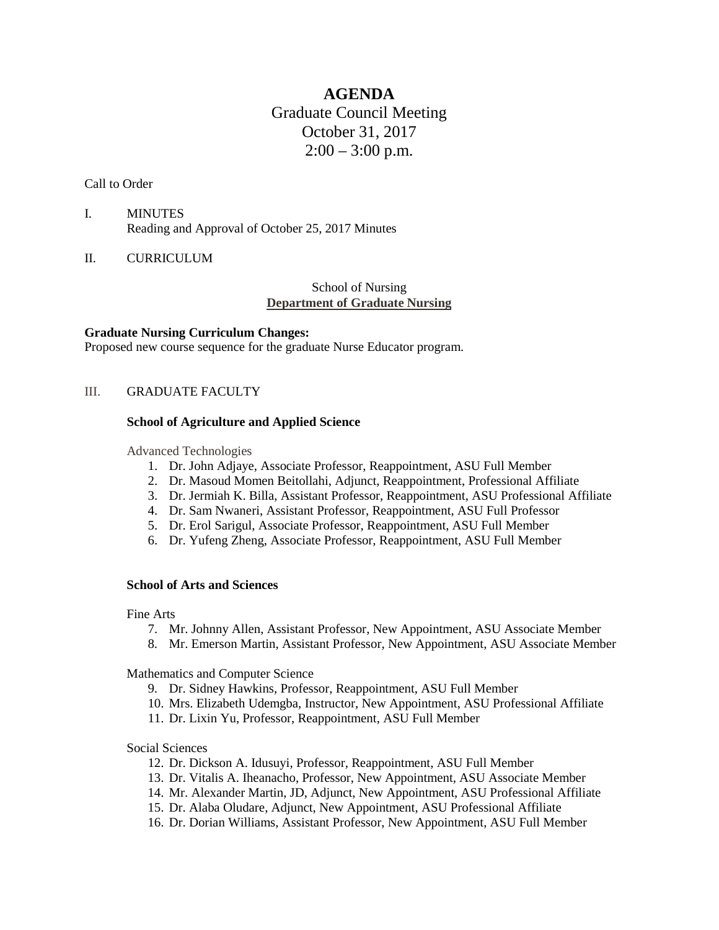# **AGENDA** Graduate Council Meeting October 31, 2017  $2:00 - 3:00$  p.m.

## Call to Order

- I. MINUTES Reading and Approval of October 25, 2017 Minutes
- II. CURRICULUM

# School of Nursing **Department of Graduate Nursing**

## **Graduate Nursing Curriculum Changes:**

Proposed new course sequence for the graduate Nurse Educator program.

## III. GRADUATE FACULTY

## **School of Agriculture and Applied Science**

Advanced Technologies

- 1. Dr. John Adjaye, Associate Professor, Reappointment, ASU Full Member
- 2. Dr. Masoud Momen Beitollahi, Adjunct, Reappointment, Professional Affiliate
- 3. Dr. Jermiah K. Billa, Assistant Professor, Reappointment, ASU Professional Affiliate
- 4. Dr. Sam Nwaneri, Assistant Professor, Reappointment, ASU Full Professor
- 5. Dr. Erol Sarigul, Associate Professor, Reappointment, ASU Full Member
- 6. Dr. Yufeng Zheng, Associate Professor, Reappointment, ASU Full Member

## **School of Arts and Sciences**

Fine Arts

- 7. Mr. Johnny Allen, Assistant Professor, New Appointment, ASU Associate Member
- 8. Mr. Emerson Martin, Assistant Professor, New Appointment, ASU Associate Member

Mathematics and Computer Science

- 9. Dr. Sidney Hawkins, Professor, Reappointment, ASU Full Member
- 10. Mrs. Elizabeth Udemgba, Instructor, New Appointment, ASU Professional Affiliate
- 11. Dr. Lixin Yu, Professor, Reappointment, ASU Full Member

#### Social Sciences

- 12. Dr. Dickson A. Idusuyi, Professor, Reappointment, ASU Full Member
- 13. Dr. Vitalis A. Iheanacho, Professor, New Appointment, ASU Associate Member
- 14. Mr. Alexander Martin, JD, Adjunct, New Appointment, ASU Professional Affiliate
- 15. Dr. Alaba Oludare, Adjunct, New Appointment, ASU Professional Affiliate
- 16. Dr. Dorian Williams, Assistant Professor, New Appointment, ASU Full Member